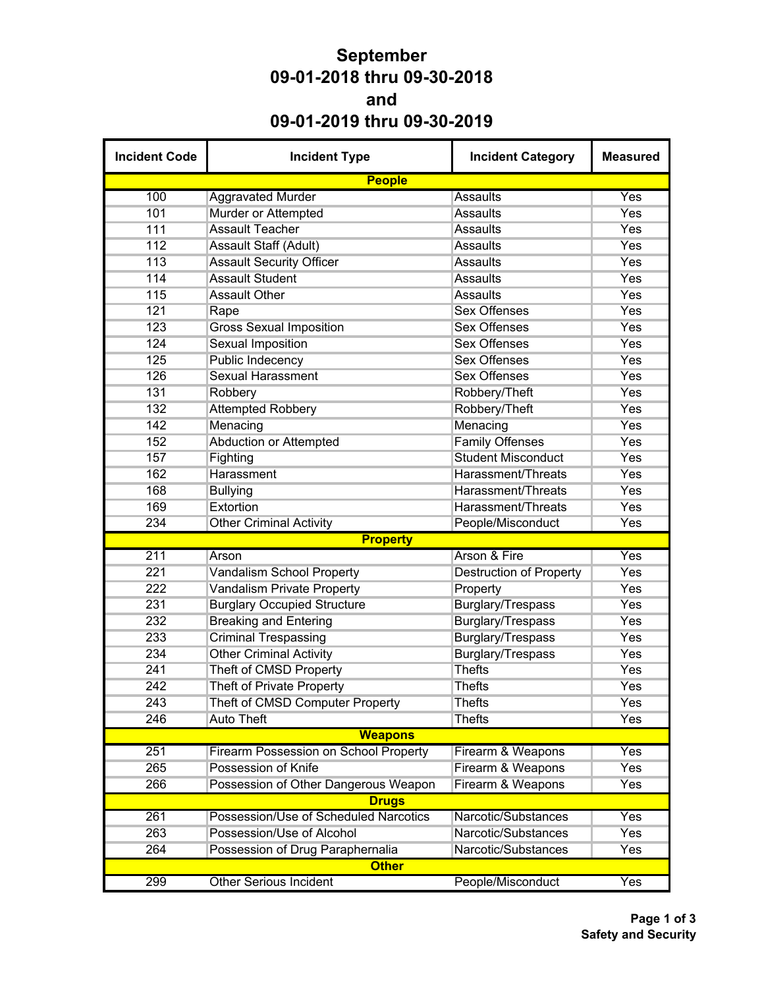## **September 09-01-2018 thru 09-30-2018 and 09-01-2019 thru 09-30-2019**

| <b>Incident Code</b> | <b>Incident Type</b>                         | <b>Incident Category</b>       | <b>Measured</b> |
|----------------------|----------------------------------------------|--------------------------------|-----------------|
|                      | <b>People</b>                                |                                |                 |
| 100                  | <b>Aggravated Murder</b>                     | Assaults                       | Yes             |
| 101                  | Murder or Attempted                          | <b>Assaults</b>                | Yes             |
| 111                  | <b>Assault Teacher</b>                       | <b>Assaults</b>                | Yes             |
| 112                  | Assault Staff (Adult)                        | <b>Assaults</b>                | Yes             |
| 113                  | <b>Assault Security Officer</b>              | <b>Assaults</b>                | Yes             |
| 114                  | <b>Assault Student</b>                       | <b>Assaults</b>                | Yes             |
| 115                  | <b>Assault Other</b>                         | <b>Assaults</b>                | Yes             |
| 121                  | Rape                                         | <b>Sex Offenses</b>            | Yes             |
| 123                  | <b>Gross Sexual Imposition</b>               | <b>Sex Offenses</b>            | Yes             |
| 124                  | <b>Sexual Imposition</b>                     | <b>Sex Offenses</b>            | Yes             |
| 125                  | Public Indecency                             | <b>Sex Offenses</b>            | Yes             |
| 126                  | <b>Sexual Harassment</b>                     | <b>Sex Offenses</b>            | Yes             |
| 131                  | Robbery                                      | Robbery/Theft                  | Yes             |
| 132                  | <b>Attempted Robbery</b>                     | Robbery/Theft                  | Yes             |
| 142                  | Menacing                                     | Menacing                       | Yes             |
| 152                  | <b>Abduction or Attempted</b>                | <b>Family Offenses</b>         | Yes             |
| 157                  | Fighting                                     | <b>Student Misconduct</b>      | Yes             |
| 162                  | Harassment                                   | Harassment/Threats             | Yes             |
| 168                  | <b>Bullying</b>                              | <b>Harassment/Threats</b>      | Yes             |
| 169                  | Extortion                                    | Harassment/Threats             | Yes             |
| 234                  | <b>Other Criminal Activity</b>               | People/Misconduct              | Yes             |
|                      | <b>Property</b>                              |                                |                 |
| 211                  | Arson                                        | Arson & Fire                   | Yes             |
| 221                  | <b>Vandalism School Property</b>             | <b>Destruction of Property</b> | Yes             |
| 222                  | <b>Vandalism Private Property</b>            | Property                       | Yes             |
| 231                  | <b>Burglary Occupied Structure</b>           | Burglary/Trespass              | Yes             |
| 232                  | <b>Breaking and Entering</b>                 | Burglary/Trespass              | Yes             |
| 233                  | <b>Criminal Trespassing</b>                  | <b>Burglary/Trespass</b>       | Yes             |
| 234                  | <b>Other Criminal Activity</b>               | Burglary/Trespass              | Yes             |
| 241                  | Theft of CMSD Property                       | <b>Thefts</b>                  | Yes             |
| 242                  | <b>Theft of Private Property</b>             | <b>Thefts</b>                  | Yes             |
| 243                  | Theft of CMSD Computer Property              | Thefts                         | Yes             |
| 246                  | <b>Auto Theft</b>                            | <b>Thefts</b>                  | Yes             |
|                      | <b>Weapons</b>                               |                                |                 |
| 251                  | <b>Firearm Possession on School Property</b> | Firearm & Weapons              | Yes             |
| 265                  | Possession of Knife                          | Firearm & Weapons              | Yes             |
| 266                  | Possession of Other Dangerous Weapon         | Firearm & Weapons              | Yes             |
|                      | <b>Drugs</b>                                 |                                |                 |
| 261                  | Possession/Use of Scheduled Narcotics        | Narcotic/Substances            | Yes             |
| 263                  | Possession/Use of Alcohol                    | Narcotic/Substances            | Yes             |
| 264                  | Possession of Drug Paraphernalia             | Narcotic/Substances            | Yes             |
|                      | <b>Other</b>                                 |                                |                 |
| 299                  | <b>Other Serious Incident</b>                | People/Misconduct              | Yes             |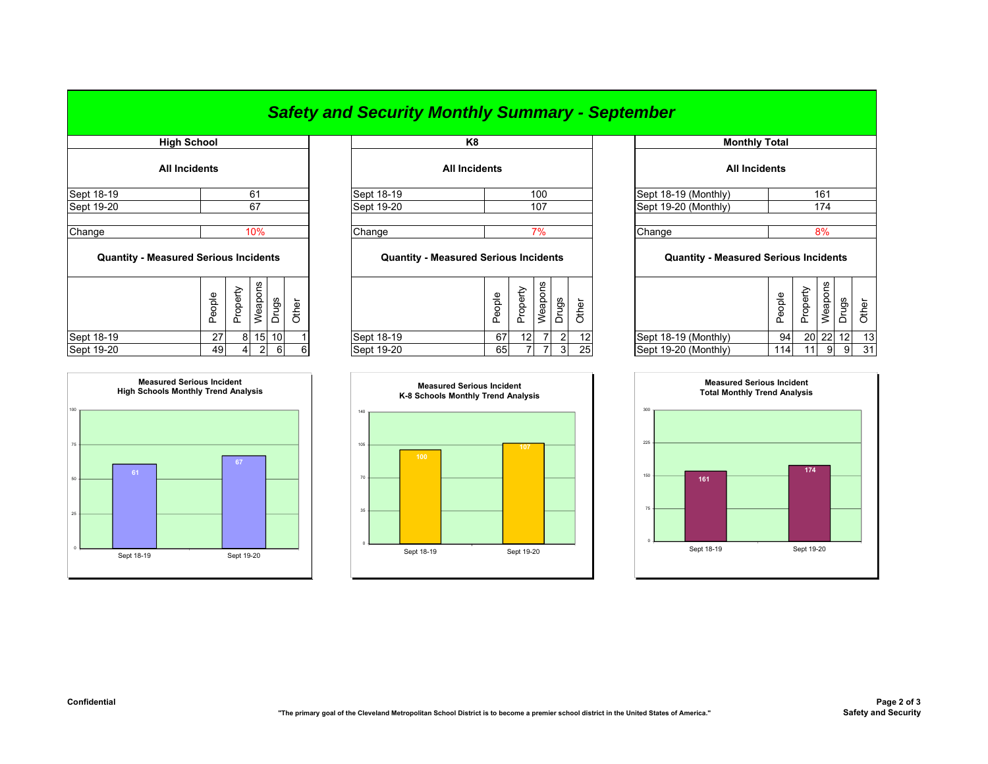## *Safety and Security Monthly Summary - September*

|                                              | <b>High School</b>   |          |               |                 |       | K8                                           |        |                 |                |                |       |         |   |
|----------------------------------------------|----------------------|----------|---------------|-----------------|-------|----------------------------------------------|--------|-----------------|----------------|----------------|-------|---------|---|
|                                              | <b>All Incidents</b> |          |               |                 |       | <b>All Incidents</b>                         |        |                 |                |                |       |         |   |
| Sept 18-19                                   |                      |          | 61            |                 |       | Sept 18-19                                   |        |                 | 100            |                |       | Sept 18 |   |
| Sept 19-20                                   |                      |          | 67            |                 |       | Sept 19-20                                   |        |                 | 107            |                |       | Sept 19 |   |
| Change                                       |                      |          | 10%           |                 |       | Change                                       |        |                 | 7%             |                |       | Change  |   |
| <b>Quantity - Measured Serious Incidents</b> |                      |          |               |                 |       | <b>Quantity - Measured Serious Incidents</b> |        |                 |                |                |       |         | C |
|                                              | People               | Property | Weapons       | Drugs           | Other |                                              | People | Property        | Weapons        | Drugs          | Other |         |   |
| Sept 18-19                                   | 27                   | 8        | 15            | 10 <sup>1</sup> |       | Sept 18-19                                   | 67     | 12 <sub>1</sub> |                | $\overline{2}$ | 12    | Sept 18 |   |
| Sent 19-20                                   | $\Delta Q$           | $\Delta$ | $\mathcal{D}$ | $\epsilon$      | 6     | Sent 19-20                                   | 651    | $\overline{7}$  | $\overline{7}$ | $\mathcal{A}$  | 25    | Sent 19 |   |



| High School          |     |            | K8                   |                               | <b>Monthly Total</b> |
|----------------------|-----|------------|----------------------|-------------------------------|----------------------|
| <b>All Incidents</b> |     |            | <b>All Incidents</b> |                               | <b>All Incidents</b> |
| Sept 18-19           | 61  | Sept 18-19 | 100                  | $\left $ Sept 18-19 (Monthly) |                      |
| Sept 19-20           |     | Sept 19-20 | 107                  | Sept 19-20 (Monthly)          |                      |
| Change               | 10% | Change     |                      | Change                        |                      |

## **Quantity - Measured Serious Incidents Quantity - Measured Serious Incidents Quantity - Measured Serious Incidents**

|            | Φ<br>흐<br>U<br>Φ | ᅭ<br>௨ | ဖ္က<br>ັ<br>နူ<br>Φ | ္တ | ৯<br>∸ |            | Φ<br>ᅙ<br>c<br>Ф<br>௨ | ധ<br>ᅭ          | ۵C<br>ਠ<br>ၕ<br>Φ        | gs<br>÷ | ৳               |                      | Φ<br>ēopi<br>௳ | ω<br>∸<br>ட | ဖ<br>ιυ | შS |    |
|------------|------------------|--------|---------------------|----|--------|------------|-----------------------|-----------------|--------------------------|---------|-----------------|----------------------|----------------|-------------|---------|----|----|
| Sept 18-19 | $\sim$<br>ا ے    | 81     | 15 <sub>1</sub>     | 10 |        | Sept 18-19 | 67                    | 12 <sub>l</sub> | $\overline{\phantom{a}}$ |         | 12              | Sept 18-19 (Monthly) | 94             |             | 20 22   | 12 | 13 |
| Sept 19-20 | 49               |        |                     | 6  | 6      | Sept 19-20 | 65                    |                 |                          |         | 25 <sub>1</sub> | Sept 19-20 (Monthly) | 114            | 11          | -9      | 9  | 31 |
|            |                  |        |                     |    |        |            |                       |                 |                          |         |                 |                      |                |             |         |    |    |



|                           |        | K8                                           |        |          |                |                                              |       | <b>Monthly Total</b>        |        |          |           |                |       |  |
|---------------------------|--------|----------------------------------------------|--------|----------|----------------|----------------------------------------------|-------|-----------------------------|--------|----------|-----------|----------------|-------|--|
|                           |        | <b>All Incidents</b>                         |        |          |                |                                              |       | <b>All Incidents</b>        |        |          |           |                |       |  |
| 61                        |        | Sept 18-19                                   |        |          | 100            |                                              |       | Sept 18-19 (Monthly)        |        |          | 161       |                |       |  |
| 67                        |        | Sept 19-20                                   |        |          | 107            |                                              |       | Sept 19-20 (Monthly)<br>174 |        |          |           |                |       |  |
| 10%                       | Change |                                              |        | 7%       |                |                                              |       | Change                      | 8%     |          |           |                |       |  |
| cidents                   |        | <b>Quantity - Measured Serious Incidents</b> |        |          |                | <b>Quantity - Measured Serious Incidents</b> |       |                             |        |          |           |                |       |  |
| Weapons<br>Drugs<br>Other |        |                                              | People | Property | Weapons        | <b>Drugs</b>                                 | Other |                             | People | Property | Weapons   | Drugs          | Other |  |
| 15<br>10 <sup>1</sup>     |        | Sept 18-19                                   | 67     | 12       | $\overline{7}$ | $\overline{2}$                               | 12    | Sept 18-19 (Monthly)        | 94     |          | $20$   22 | 12             | 13    |  |
| $\overline{2}$<br>6<br>6  |        | Sept 19-20                                   | 65     | 7        | 7              | 3 <sup>1</sup>                               | 25    | Sept 19-20 (Monthly)        | 114I   | 11       | 9         | 9 <sub>l</sub> | 31    |  |